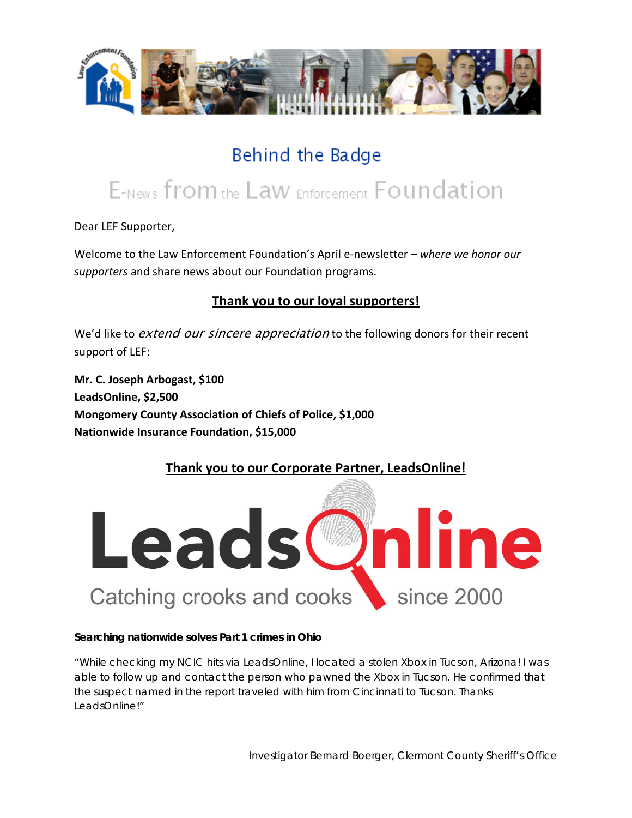

## Behind the Badge

# E-News from the Law Enforcement Foundation

Dear LEF Supporter,

Welcome to the Law Enforcement Foundation's April e-newsletter *– where we honor our supporters* and share news about our Foundation programs.

## **Thank you to our loyal supporters!**

We'd like to *extend our sincere appreciation* to the following donors for their recent support of LEF:

**Mr. C. Joseph Arbogast, \$100 LeadsOnline, \$2,500 Mongomery County Association of Chiefs of Police, \$1,000 Nationwide Insurance Foundation, \$15,000**

## **Thank you to our Corporate Partner, LeadsOnline!**



#### **Searching nationwide solves Part 1 crimes in Ohio**

*"While checking my NCIC hits via LeadsOnline, I located a stolen Xbox in Tucson, Arizona! I was able to follow up and contact the person who pawned the Xbox in Tucson. He confirmed that the suspect named in the report traveled with him from Cincinnati to Tucson. Thanks LeadsOnline!"*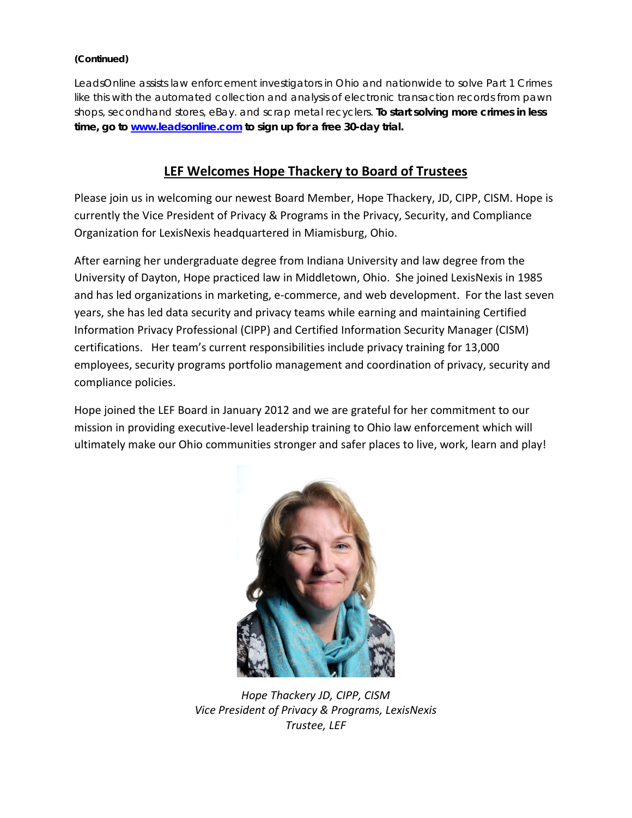#### **(Continued)**

LeadsOnline assists law enforcement investigators in Ohio and nationwide to solve Part 1 Crimes like this with the automated collection and analysis of electronic transaction records from pawn shops, secondhand stores, eBay. and scrap metal recyclers. **To start solving more crimes in less time, go to [www.leadsonline.com](http://www.leadsonline.com/) to sign up for a free 30-day trial.** 

#### **LEF Welcomes Hope Thackery to Board of Trustees**

Please join us in welcoming our newest Board Member, Hope Thackery, JD, CIPP, CISM. Hope is currently the Vice President of Privacy & Programs in the Privacy, Security, and Compliance Organization for LexisNexis headquartered in Miamisburg, Ohio.

After earning her undergraduate degree from Indiana University and law degree from the University of Dayton, Hope practiced law in Middletown, Ohio. She joined LexisNexis in 1985 and has led organizations in marketing, e-commerce, and web development. For the last seven years, she has led data security and privacy teams while earning and maintaining Certified Information Privacy Professional (CIPP) and Certified Information Security Manager (CISM) certifications. Her team's current responsibilities include privacy training for 13,000 employees, security programs portfolio management and coordination of privacy, security and compliance policies.

Hope joined the LEF Board in January 2012 and we are grateful for her commitment to our mission in providing executive-level leadership training to Ohio law enforcement which will ultimately make our Ohio communities stronger and safer places to live, work, learn and play!



*Hope Thackery JD, CIPP, CISM Vice President of Privacy & Programs, LexisNexis Trustee, LEF*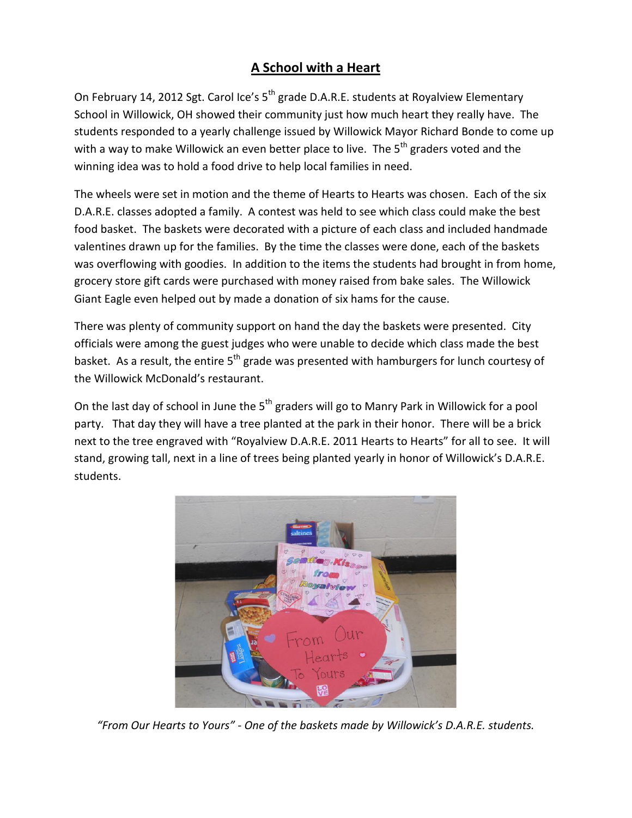## **A School with a Heart**

On February 14, 2012 Sgt. Carol Ice's 5<sup>th</sup> grade D.A.R.E. students at Royalview Elementary School in Willowick, OH showed their community just how much heart they really have. The students responded to a yearly challenge issued by Willowick Mayor Richard Bonde to come up with a way to make Willowick an even better place to live. The  $5<sup>th</sup>$  graders voted and the winning idea was to hold a food drive to help local families in need.

The wheels were set in motion and the theme of Hearts to Hearts was chosen. Each of the six D.A.R.E. classes adopted a family. A contest was held to see which class could make the best food basket. The baskets were decorated with a picture of each class and included handmade valentines drawn up for the families. By the time the classes were done, each of the baskets was overflowing with goodies. In addition to the items the students had brought in from home, grocery store gift cards were purchased with money raised from bake sales. The Willowick Giant Eagle even helped out by made a donation of six hams for the cause.

There was plenty of community support on hand the day the baskets were presented. City officials were among the guest judges who were unable to decide which class made the best basket. As a result, the entire  $5<sup>th</sup>$  grade was presented with hamburgers for lunch courtesy of the Willowick McDonald's restaurant.

On the last day of school in June the 5<sup>th</sup> graders will go to Manry Park in Willowick for a pool party. That day they will have a tree planted at the park in their honor. There will be a brick next to the tree engraved with "Royalview D.A.R.E. 2011 Hearts to Hearts" for all to see. It will stand, growing tall, next in a line of trees being planted yearly in honor of Willowick's D.A.R.E. students.



*"From Our Hearts to Yours" - One of the baskets made by Willowick's D.A.R.E. students.*